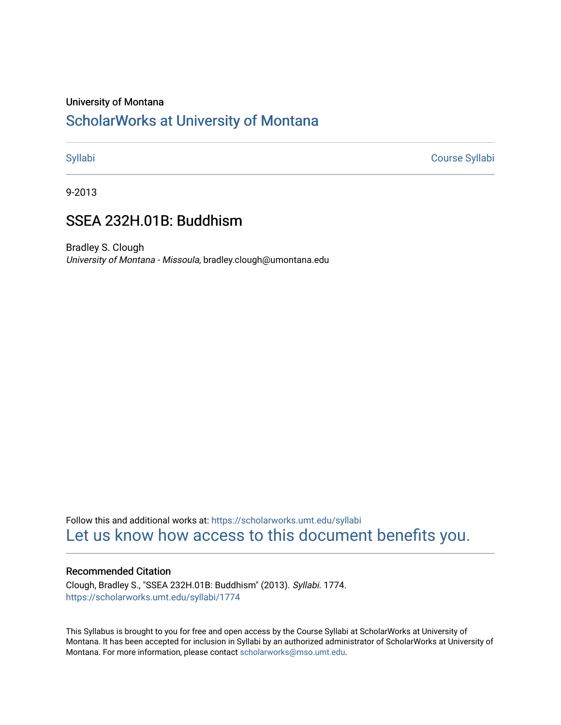#### University of Montana

# [ScholarWorks at University of Montana](https://scholarworks.umt.edu/)

[Syllabi](https://scholarworks.umt.edu/syllabi) [Course Syllabi](https://scholarworks.umt.edu/course_syllabi) 

9-2013

# SSEA 232H.01B: Buddhism

Bradley S. Clough University of Montana - Missoula, bradley.clough@umontana.edu

Follow this and additional works at: [https://scholarworks.umt.edu/syllabi](https://scholarworks.umt.edu/syllabi?utm_source=scholarworks.umt.edu%2Fsyllabi%2F1774&utm_medium=PDF&utm_campaign=PDFCoverPages)  [Let us know how access to this document benefits you.](https://goo.gl/forms/s2rGfXOLzz71qgsB2) 

#### Recommended Citation

Clough, Bradley S., "SSEA 232H.01B: Buddhism" (2013). Syllabi. 1774. [https://scholarworks.umt.edu/syllabi/1774](https://scholarworks.umt.edu/syllabi/1774?utm_source=scholarworks.umt.edu%2Fsyllabi%2F1774&utm_medium=PDF&utm_campaign=PDFCoverPages)

This Syllabus is brought to you for free and open access by the Course Syllabi at ScholarWorks at University of Montana. It has been accepted for inclusion in Syllabi by an authorized administrator of ScholarWorks at University of Montana. For more information, please contact [scholarworks@mso.umt.edu.](mailto:scholarworks@mso.umt.edu)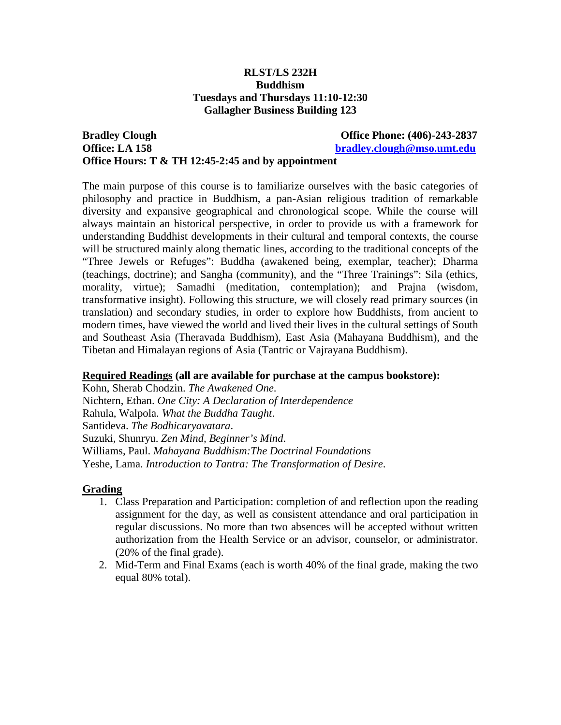## **RLST/LS 232H Buddhism Tuesdays and Thursdays 11:10-12:30 Gallagher Business Building 123**

## **Bradley Clough Clough Clough Clough Clough Clough Clough Clough Clough Clough Clough Clough Clough Clough Clough Clough Clough Clough Clough Clough Clough Clough Clough Clough Clough Clough Clough Clough Clough Clough Clo Office: LA 158 [bradley.clough@mso.umt.edu](mailto:bradley.clough@mso.umt.edu) Office Hours: T & TH 12:45-2:45 and by appointment**

The main purpose of this course is to familiarize ourselves with the basic categories of philosophy and practice in Buddhism, a pan-Asian religious tradition of remarkable diversity and expansive geographical and chronological scope. While the course will always maintain an historical perspective, in order to provide us with a framework for understanding Buddhist developments in their cultural and temporal contexts, the course will be structured mainly along thematic lines, according to the traditional concepts of the "Three Jewels or Refuges": Buddha (awakened being, exemplar, teacher); Dharma (teachings, doctrine); and Sangha (community), and the "Three Trainings": Sila (ethics, morality, virtue); Samadhi (meditation, contemplation); and Prajna (wisdom, transformative insight). Following this structure, we will closely read primary sources (in translation) and secondary studies, in order to explore how Buddhists, from ancient to modern times, have viewed the world and lived their lives in the cultural settings of South and Southeast Asia (Theravada Buddhism), East Asia (Mahayana Buddhism), and the Tibetan and Himalayan regions of Asia (Tantric or Vajrayana Buddhism).

## **Required Readings (all are available for purchase at the campus bookstore):**

Kohn, Sherab Chodzin. *The Awakened One*. Nichtern, Ethan. *One City: A Declaration of Interdependence* Rahula, Walpola. *What the Buddha Taught*. Santideva. *The Bodhicaryavatara*. Suzuki, Shunryu. *Zen Mind, Beginner's Mind*. Williams, Paul. *Mahayana Buddhism:The Doctrinal Foundations* Yeshe, Lama. *Introduction to Tantra: The Transformation of Desire*.

## **Grading**

- 1. Class Preparation and Participation: completion of and reflection upon the reading assignment for the day, as well as consistent attendance and oral participation in regular discussions. No more than two absences will be accepted without written authorization from the Health Service or an advisor, counselor, or administrator. (20% of the final grade).
- 2. Mid-Term and Final Exams (each is worth 40% of the final grade, making the two equal 80% total).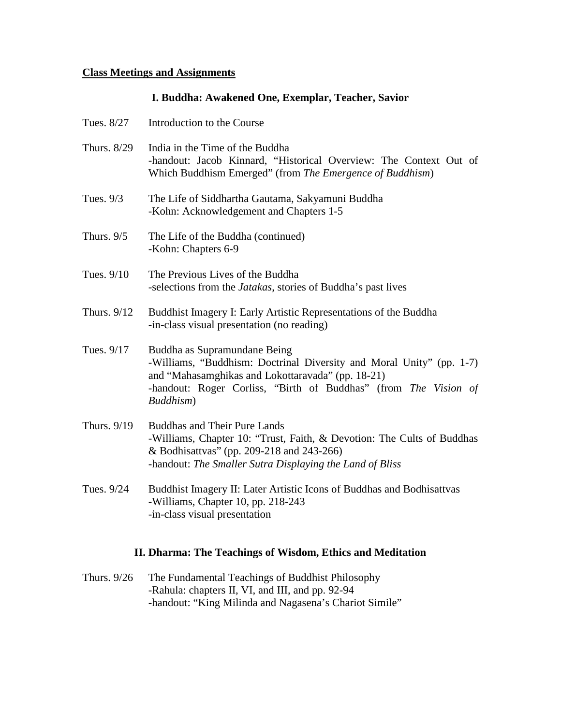## **Class Meetings and Assignments**

## **I. Buddha: Awakened One, Exemplar, Teacher, Savior**

| Tues. 8/27   | Introduction to the Course                                                                                                                                                                                                                |
|--------------|-------------------------------------------------------------------------------------------------------------------------------------------------------------------------------------------------------------------------------------------|
| Thurs. 8/29  | India in the Time of the Buddha<br>-handout: Jacob Kinnard, "Historical Overview: The Context Out of<br>Which Buddhism Emerged" (from The Emergence of Buddhism)                                                                          |
| Tues. 9/3    | The Life of Siddhartha Gautama, Sakyamuni Buddha<br>-Kohn: Acknowledgement and Chapters 1-5                                                                                                                                               |
| Thurs. $9/5$ | The Life of the Buddha (continued)<br>-Kohn: Chapters 6-9                                                                                                                                                                                 |
| Tues. 9/10   | The Previous Lives of the Buddha<br>-selections from the Jatakas, stories of Buddha's past lives                                                                                                                                          |
| Thurs. 9/12  | Buddhist Imagery I: Early Artistic Representations of the Buddha<br>-in-class visual presentation (no reading)                                                                                                                            |
| Tues. 9/17   | Buddha as Supramundane Being<br>-Williams, "Buddhism: Doctrinal Diversity and Moral Unity" (pp. 1-7)<br>and "Mahasamghikas and Lokottaravada" (pp. 18-21)<br>-handout: Roger Corliss, "Birth of Buddhas" (from The Vision of<br>Buddhism) |
| Thurs. 9/19  | <b>Buddhas and Their Pure Lands</b><br>-Williams, Chapter 10: "Trust, Faith, & Devotion: The Cults of Buddhas<br>& Bodhisattvas" (pp. 209-218 and 243-266)<br>-handout: The Smaller Sutra Displaying the Land of Bliss                    |
| Tues. 9/24   | Buddhist Imagery II: Later Artistic Icons of Buddhas and Bodhisattvas<br>-Williams, Chapter 10, pp. 218-243<br>-in-class visual presentation                                                                                              |

## **II. Dharma: The Teachings of Wisdom, Ethics and Meditation**

Thurs. 9/26 The Fundamental Teachings of Buddhist Philosophy -Rahula: chapters II, VI, and III, and pp. 92-94 -handout: "King Milinda and Nagasena's Chariot Simile"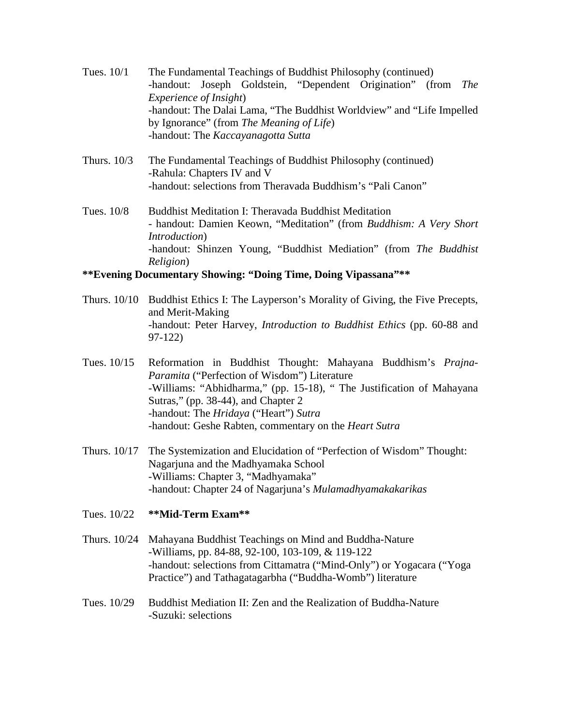- Tues. 10/1 The Fundamental Teachings of Buddhist Philosophy (continued) -handout: Joseph Goldstein, "Dependent Origination" (from *The Experience of Insight*) -handout: The Dalai Lama, "The Buddhist Worldview" and "Life Impelled by Ignorance" (from *The Meaning of Life*) -handout: The *Kaccayanagotta Sutta*
- Thurs. 10/3 The Fundamental Teachings of Buddhist Philosophy (continued) -Rahula: Chapters IV and V -handout: selections from Theravada Buddhism's "Pali Canon"
- Tues. 10/8 Buddhist Meditation I: Theravada Buddhist Meditation - handout: Damien Keown, "Meditation" (from *Buddhism: A Very Short Introduction*) -handout: Shinzen Young, "Buddhist Mediation" (from *The Buddhist Religion*)

## **\*\*Evening Documentary Showing: "Doing Time, Doing Vipassana"\*\***

- Thurs. 10/10 Buddhist Ethics I: The Layperson's Morality of Giving, the Five Precepts, and Merit-Making -handout: Peter Harvey, *Introduction to Buddhist Ethics* (pp. 60-88 and 97-122)
- Tues. 10/15 Reformation in Buddhist Thought: Mahayana Buddhism's *Prajna-Paramita* ("Perfection of Wisdom") Literature -Williams: "Abhidharma," (pp. 15-18), " The Justification of Mahayana Sutras," (pp. 38-44), and Chapter 2 -handout: The *Hridaya* ("Heart") *Sutra* -handout: Geshe Rabten, commentary on the *Heart Sutra*
- Thurs. 10/17 The Systemization and Elucidation of "Perfection of Wisdom" Thought: Nagarjuna and the Madhyamaka School -Williams: Chapter 3, "Madhyamaka" -handout: Chapter 24 of Nagarjuna's *Mulamadhyamakakarikas*
- Tues. 10/22 **\*\*Mid-Term Exam\*\***
- Thurs. 10/24 Mahayana Buddhist Teachings on Mind and Buddha-Nature -Williams, pp. 84-88, 92-100, 103-109, & 119-122 -handout: selections from Cittamatra ("Mind-Only") or Yogacara ("Yoga Practice") and Tathagatagarbha ("Buddha-Womb") literature
- Tues. 10/29 Buddhist Mediation II: Zen and the Realization of Buddha-Nature -Suzuki: selections